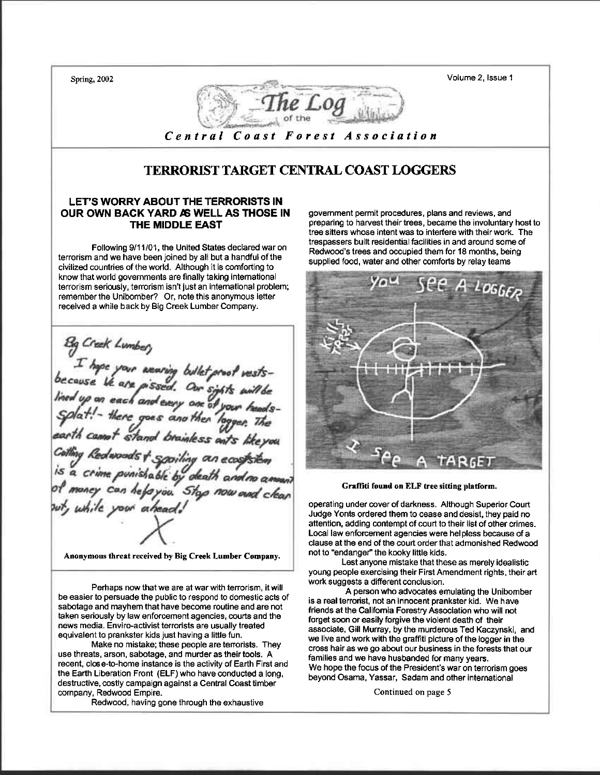Volume 2, lssue 1 Spring, 2002 Central Coast Forest Association TERRORIST TARGET CENTRAL COAST LOGGERSLET'S WORRY ABOUT THE TERRORISTS IN OUR OWN BACK YARD AS WELL AS THOSE IN govemment permit procedures, plans and reviews, and preparing to harvest their trees, became the involuntary host to THE MIDDLE EAST tree sitters whose intent was to interfere with their work. The trespassers built residential facilities in and around some of Following 9/11/01, the United States declared war on Redwood's trees and occupied ihem for 18 months, being terrorism and we have been joined by all but a handful of the supplied food, water and other comforts by relay teams civilized countries of the world. Although it is comforting to know that world governments are finally taking international  $L$ 066 $\epsilon$ terrorism seriously, terrorism isn't just an international problem; remember the Unibomber? Or, note this anonymous letter received a while back by Big Creek Lumber Company. e your wearing bullet proof vests-<br>He are pissed. Our sights will be<br>each and every one of your heads-<br>there goes and then logger. The a crime punishable by death and no amount Graffiti found on ELF tree sitting platform. oney can help you. Stop now and clean operating under cover of darkness. Although Superior Court ile your ahead Judge Yonts ordered them to cease and desist, they paid no attention, adding contempt of court to their list of other crimes. Local law enforcement agencies were helpless because of a clause at the end of the court order that admonished Redwood not to "endanger" the kooky little kids. Anonymous threat received by Big Creek Lumber Company. Lest anyone mistake that these as merely idealistic young people exercising their First Amendment rights, their art work suggests a different conclusion. Perhaps now that we are at war with terrorism, it will A person who advocates emulating the Unibomber be easier to persuade the public to respond to domesticacts of is a real terrorist, not an innocent prankster kid. We have sabotage and mayhem that have become routine and are not friends at the Califomia Forestry Association who will not taken seriously by law enforcement agencies, courts and the forget soon or easily forgive the violent death of their news media. Enviro-activist terrorists are usually treated associate, Gill Murray, by the murderous Ted Kaczynski, and equivalent to prankster kids just having a little fun. we live and work with the graffiti picture of the logger in the Make no mistake; these people are terrorists. They cross hair as we go about our business in the forests that our use threats, arson, sabotage, and murder as their tools. A families and we have husbanded for many years. recent, close-to-home instance is the activity of Earth First and We hope the focus of the President's war on terrorism goes the Earth Liberation Front (ELF) who have conducted a long, beyond Osama, Yassar, Sadam and other intemational

Conrinued on page 5

Redwood, having gone through the exhaustive

destructive, costly campaign against a Central Coast timber

company, Redwood Empire.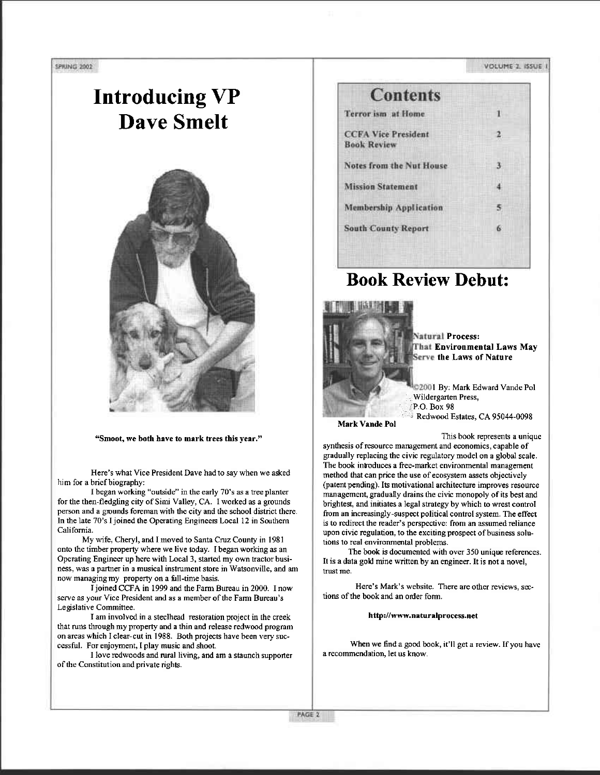# Introducing VP Dave Smelt



#### "Smoot, we both have to mark trees this year."

Here's what Vice President Dave had to say when we asked him for a brief biography:

I began working "outside" in the early ?0's as a tee planter for the then-fledgling city of Simi Valley, CA. I worked as a grounds person and a gounds forcman with lhe city and the school district there. In the late 70's I joined the Operating Engineers Local 12 in Southern California.

My wife, Cheryl, and I moved to Santa Cruz County in 1981 onto the timber property where we live today- I began working as an Operating Engineer up here with Local 3, started my own tractor business, was a partner in a musical instrument store in Watsonville, and am now managing my property on a full-time basis.

I joined CCFA in 1999 and the Farm Bureau in 2000. I now serve as your Vice President and as a member of the Farm Bureau's Le gislative Committee.

I am involved in a steelhead restomtion project in the creek that runs through my property and a thin and release redwood program on areas which I clear-cut in 1988. Both projects have been very successful. For enjoyment, I play music and shoot.

I love redwoods and rural living, and am a staunch supporter of the Constitution ard private righls.



### Book Review Debut:



**Natural Process:** That Environmental Laws May Serve the Laws of Nature

2001 By: Mark Edward Vande Pol , Wildergarten Press, P.O. Box 98 Redwood Estates, CA 95044-0098

Mark Vande Pol

This book represerts a unique

synthesis of resource management and economics, capable of gradually replacing the civic regulatory model on a global scale. The book introduces a free-market environmental management method that can price the use of ecosystem assets objectively (patent pending). Its motivational architecture improves resource rnanagernent, gradually drains the civic monopoly of its best and brightest, and initiates a legal strategy by which to wrest control from an increasingly-suspect political control system. The effect is to redirect the reader's perspective: from an assumed reliance upon civic regulation, to the exciting prospect of business solutions to real environmental problems.

The book is documented with over 350 unique references. It is a data gold mine written by an engineer. It is not a novel, trust me,

Here's Mark's website. There are other reviews. sections of the book and an order form.

http://www.naturalprocess.net

When we find a good book, it'll get a review. If you have a reconmendation, let us know.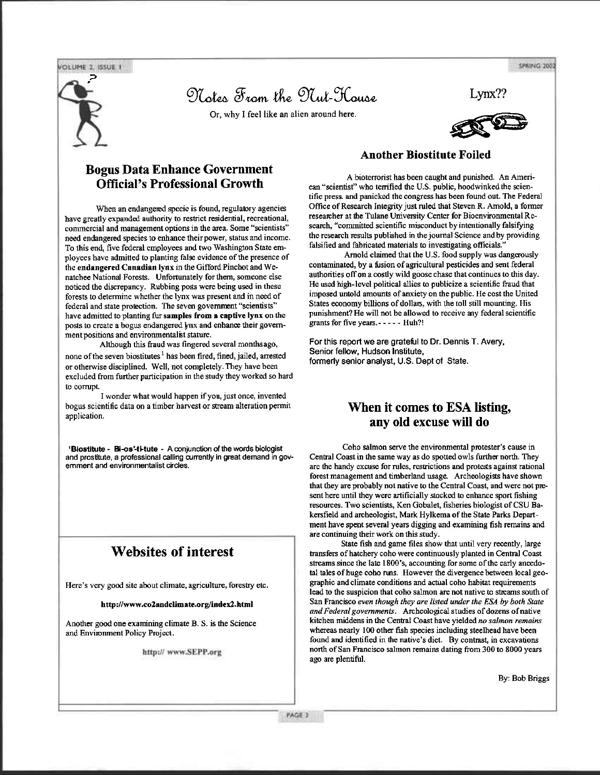**VOLUME 2 ISSUE 1** 

Notes From the Nut-Kouse

Or, why I feel like an alien around here.



SPRING 2002



#### **Bogus Data Enhance Government Official's Professional Growth**

When an endangered specie is found, regulatory agencies have greatly expanded authority to restrict residential, recreational, commercial and management options in the area. Some "scientists" need endangered species to enhance their power, status and income. To this end, five federal employees and two Washington State employees have admitted to planting false evidence of the presence of the endangered Canadian Ivnx in the Gifford Pinchot and Wenatchee National Forests. Unfortunately for them, someone else noticed the discrepancy. Rubbing poss were being used in these forests to determine whether the lynx was present and in need of federal and state protection. The seven government "scientists" have admitted to planting fur samples from a captive lynx on the posts to create a bogus endangered ynx and enhance their government positions and environmentalist stature.

Although this fraud was fingered several monthsago, none of the seven biostitutes<sup>1</sup> has been fired, fined, jailed, arrested or otherwise disciplined. Well, not completely. They have been excluded from further participation in the study they worked so hard to corrupt.

I wonder what would happen if you, just once, invented bogus scientific data on a timber harvest or stream alteration permit application.

<sup>1</sup>Biostitute - Bi-os'-ti-tute - A conjunction of the words biologist and prostitute, a professional calling currently in great demand in govemment and environmentalist circles.

### **Websites of interest**

Here's very good site about climate, agriculture, forestry etc.

http://www.co2andclimate.org/index2.html

Another good one examining climate B. S. is the Science and Environment Policy Project.

http://www.SEPP.org

#### **Another Biostitute Foiled**

A bioterrorist has been caught and punished. An American "scientist" who terrified the U.S. public, hoodwinked the scientific press. and panicked the congress has been found out. The Federal Office of Research Integrity just ruled that Steven R. Amold, a former researcher at the Tulane University Center for Bioenvironmental Research, "committed scientific misconduct by intentionally falsifying the research results published in the journal Science and by providing falsified and fabricated materials to investigating officials.'

Arnold claimed that the U.S. food supply was dangerously contaminated, by a fusion of agricultural pesticides and sent federal authorities off on a costly wild goose chase that continues to this day. He used high-level political allies to publicize a scientific fraud that imposed untold amounts of anxiety on the public. He cost the United States economy billions of dollars, with the toll still mounting. His punishment? He will not be allowed to receive any federal scientific grants for five years.----- Huh?!

For this report we are grateful to Dr. Dennis T. Avery, Senior fellow, Hudson Institute, formerly senior analyst, U.S. Dept of State.

### When it comes to ESA listing, any old excuse will do

Coho salmon serve the environmental protester's cause in Central Coast in the same way as do spotted owls further north. They are the handy excuse for rules, restrictions and protests against rational forest management and timberland usage. Archeologists have shown that they are probably not native to the Central Coast, and were not present here until they were artificially stocked to enhance sport fishing resources. Two scientists, Ken Gobalet, fisheries biologist of CSU Bakersfield and archeologist, Mark Hylkema of the State Parks Department have spent several years digging and examining fish remains and are continuing their work on this study.

State fish and game files show that until very recently, large transfers of hatchery coho were continuously planted in Central Coast streams since the late 1800's, accounting for some of the early anecdotal tales of huge coho runs. However the divergence between local geographic and climate conditions and actual coho habitat requirements lead to the suspicion that coho salmon are not native to streams south of San Francisco even though they are listed under the ESA by both State and Federal governments. Archeological studies of dozens of native kitchen middens in the Central Coast have yielded no salmon remains whereas nearly 100 other fish species including steelhead have been found and identified in the native's diet. By contrast, in excavations north of San Francisco salmon remains dating from 300 to 8000 years ago are plentiful.

By: Bob Briggs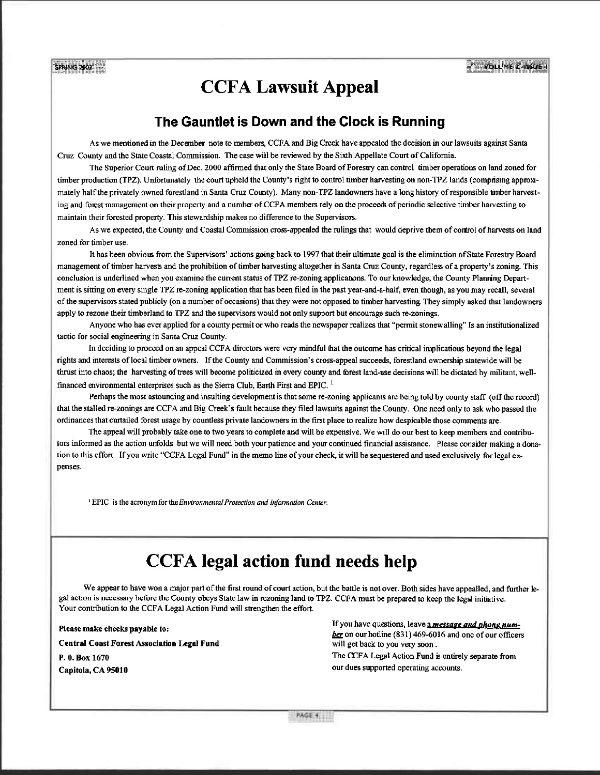VOLUME 2, ISSUE

### **CCFA Lawsuit Appeal**

### The Gauntlet is Down and the Clock is Running

As we mentioned in the December note to members, CCFA and Big Creek have appealed the decision in our lawsuits against Santa Cruz County and the State Coastal Commission. The case will be reviewed by the Sixth Appellate Court of California.

The Superior Court ruling of Dec. 2000 affirmed that only the State Board of Forestry can control timber operations on land zoned for timber production (TPZ). Unfortunately the court upheld the County's right to control timber harvesting on non-TPZ lands (compnsing approximately half the privately owned forestland in Santa Cruz County). Many non-TPZ landowners have a long history of responsible umber harvesting and forest management on their property and a number of CCFA members rely on the proceeds of periodic selective timber harvesting to maintain their forested property. This stewardship makes no difference to the Supervisors.

As we expected, the County and Coastal Commission cross-appealed the rulings that would deprive them of control of harvests on land zoned for timber use.

It has been obvious from the Supervisors' actions going back to 1997 that their ultimate goal is the elimination of State Forestry Board management of timber harvests and the prohibition of timber harvesting altogether in Santa Cruz County, regardless of a property's zoning. This conclusion is underlined when you examine the current status of TPZ re-zoning applications. To our knowledge, the County Planning Department is sitting on every single TPZ re-zoning application that has been filed in the past year-and-a-half, even though, as you may recall, several of the supervisors stated publicly (on a number of occasions) that they were not opposed to timber harvesting. They simply asked that landowners apply to rezone their timberland to TPZ and the supervisors would not only support but encourage such re-zonings.

Anyone who has ever applied for a county permit or who reads the newspaper realizes that "permit stonewalling" Is an institutionalized tactic for social engineering in Santa Cruz County.

In deciding to proceed on an appeal CCFA directors were very mindful that the outcome has critical implications beyond the legal rights and interests of local timber owners. If the County and Commission's cross-appeal succeeds, forestland ownership statewide will be thrust into chaos; the harvesting of trees will become politicized in every county and forest land-use decisions will be dictated by militant, wellfinanced environmental enterprises such as the Sierra Club, Earth First and EPIC.<sup>1</sup>

Perhaps the most astounding and insulting development is that some re-zoning applicants are being told by county staff (off the record) that the stalled re-zonings are CCFA and Big Creek's fault because they filed lawsuits against the County. One need only to ask who passed the ordinances that curtailed forest usage by countless private landowners in the first place to realize how despicable those comments are.

The appeal will probably take one to two years to complete and will be expensive. We will do our best to keep members and contributors informed as the action unfolds but we will need both your patience and your continued financial assistance. Please consider making a donation to this effort. If you write "CCFA Legal Fund" in the memo line of your check, it will be sequestered and used exclusively for legal expenses.

<sup>1</sup> EPIC is the acronym for the Environmental Protection and Information Center.

## **CCFA** legal action fund needs help

We appear to have won a major part of the first round of court action, but the battle is not over. Both sides have appealled, and further legal action is necessary before the County obeys State law in rezoning land to TPZ. CCFA must be prepared to keep the legal initiative. Your contribution to the CCFA Legal Action Fund will strengthen the effort.

Please make checks payable to:

**Central Coast Forest Association Legal Fund** 

P. 0. Box 1670 Capitola, CA 95010

**SPRING 2002** 

If you have questions, leave a message and phone number on our hotline (831) 469-6016 and one of our officers will get back to you very soon.

The CCFA Legal Action Fund is entirely separate from our dues supported operating accounts.

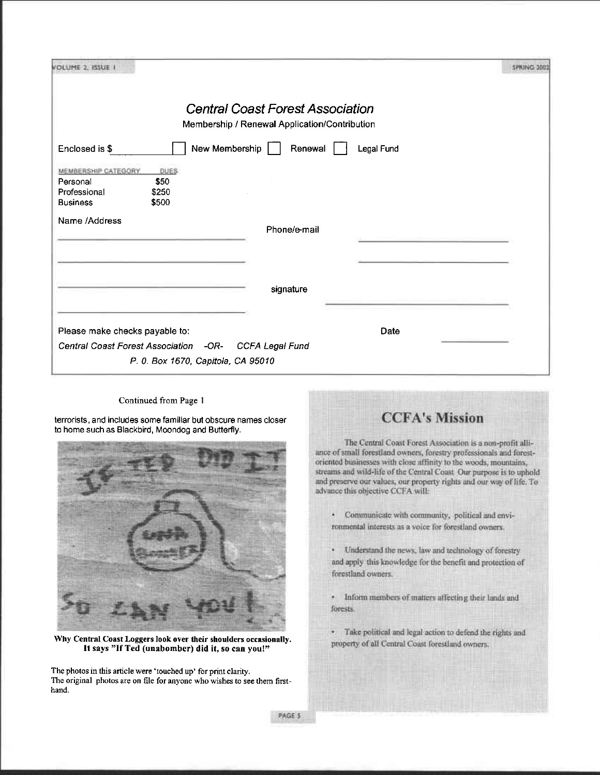|                                         |                                    | <b>Central Coast Forest Association</b>       |            |  |
|-----------------------------------------|------------------------------------|-----------------------------------------------|------------|--|
|                                         |                                    | Membership / Renewal Application/Contribution |            |  |
| Enclosed is \$                          |                                    | New Membership<br>Renewal                     | Legal Fund |  |
| MEMBERSHIP CATEGORY.                    | <b>DUES</b>                        |                                               |            |  |
| Personal                                | \$50                               |                                               |            |  |
| Professional                            | \$250                              |                                               |            |  |
| <b>Business</b>                         | \$500                              |                                               |            |  |
| Name /Address                           |                                    | Phone/e-mail                                  |            |  |
|                                         |                                    |                                               |            |  |
|                                         |                                    |                                               |            |  |
|                                         |                                    |                                               |            |  |
|                                         |                                    | signature                                     |            |  |
|                                         |                                    |                                               |            |  |
| Please make checks payable to:          |                                    |                                               | Date       |  |
| <b>Central Coast Forest Association</b> |                                    | -OR-<br>CCFA Legal Fund                       |            |  |
|                                         |                                    |                                               |            |  |
|                                         | P. 0. Box 1670, Capitola, CA 95010 |                                               |            |  |

Continued from Page I

terrorists, and includes some familiar but obscure names closer to home such as Blackbird, Moondog and Butterfly.



Why Central Coast Loggers look over their shoulders occasionally. It says "If Ted (unabomber) did it, so can you!"

The photos in this article were 'touched up' for print clarity. The original photos are on file for anyone who wishes to see them firsthand.



· Communicate with community, political and environmental interests as a voice for forestland owners.

Understand the news, law and technology of forestry and apply this knowledge for the benefit and protection of forestland owners.

- · Inform members of matters affecting their lands and forests.
- Take political and legal action to defend the rights and W property of all Central Coast forestland owners.

PAGE 5